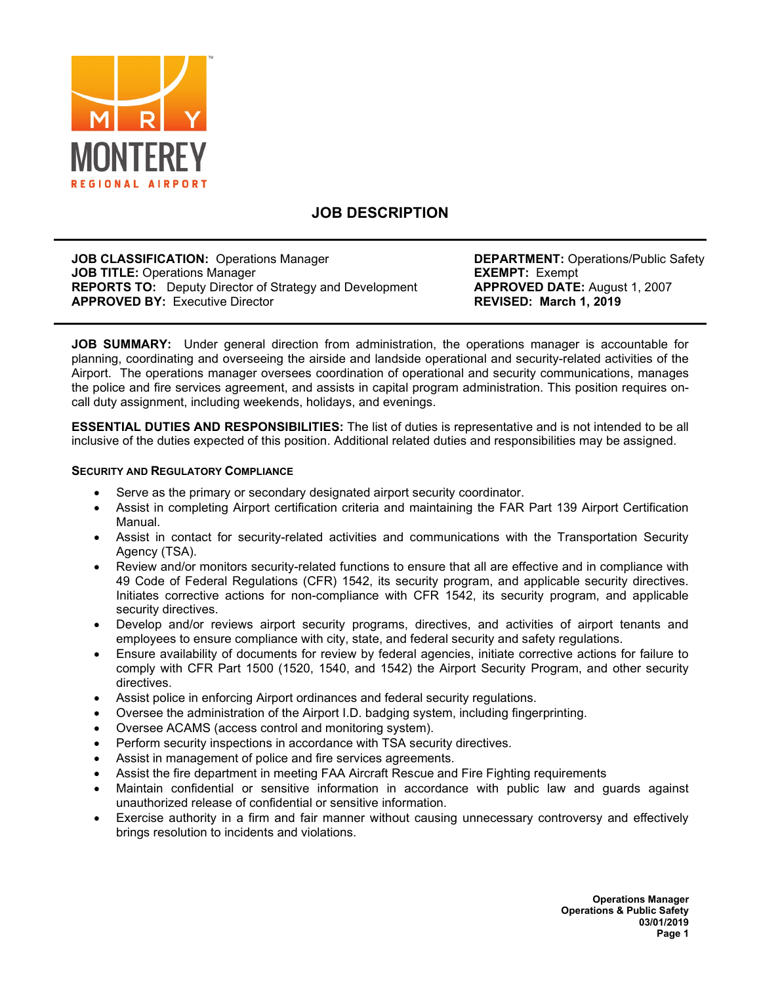

# **JOB DESCRIPTION**

**JOB CLASSIFICATION:** Operations Manager **DEPARTMENT:** Operations/Public Safety **JOB TITLE:** Operations Manager **EXEMPT: Exempt** EXEMPT: Exempt<br> **REPORTS TO:** Deputy Director of Strategy and Development **APPROVED DATE:** August 1, 2007 **REPORTS TO:** Deputy Director of Strategy and Development **APPROVED DATE:** August **APPROVED BY:** Executive Director **APPROVED BY: Executive Director** 

**JOB SUMMARY:** Under general direction from administration, the operations manager is accountable for planning, coordinating and overseeing the airside and landside operational and security-related activities of the Airport. The operations manager oversees coordination of operational and security communications, manages the police and fire services agreement, and assists in capital program administration. This position requires oncall duty assignment, including weekends, holidays, and evenings.

**ESSENTIAL DUTIES AND RESPONSIBILITIES:** The list of duties is representative and is not intended to be all inclusive of the duties expected of this position. Additional related duties and responsibilities may be assigned.

#### **SECURITY AND REGULATORY COMPLIANCE**

- Serve as the primary or secondary designated airport security coordinator.
- Assist in completing Airport certification criteria and maintaining the FAR Part 139 Airport Certification Manual.
- Assist in contact for security-related activities and communications with the Transportation Security Agency (TSA).
- Review and/or monitors security-related functions to ensure that all are effective and in compliance with 49 Code of Federal Regulations (CFR) 1542, its security program, and applicable security directives. Initiates corrective actions for non-compliance with CFR 1542, its security program, and applicable security directives.
- Develop and/or reviews airport security programs, directives, and activities of airport tenants and employees to ensure compliance with city, state, and federal security and safety regulations.
- Ensure availability of documents for review by federal agencies, initiate corrective actions for failure to comply with CFR Part 1500 (1520, 1540, and 1542) the Airport Security Program, and other security directives.
- Assist police in enforcing Airport ordinances and federal security regulations.
- Oversee the administration of the Airport I.D. badging system, including fingerprinting.
- Oversee ACAMS (access control and monitoring system).
- Perform security inspections in accordance with TSA security directives.
- Assist in management of police and fire services agreements.
- Assist the fire department in meeting FAA Aircraft Rescue and Fire Fighting requirements
- Maintain confidential or sensitive information in accordance with public law and guards against unauthorized release of confidential or sensitive information.
- Exercise authority in a firm and fair manner without causing unnecessary controversy and effectively brings resolution to incidents and violations.

**Operations Manager Operations & Public Safety 03/01/2019 Page 1**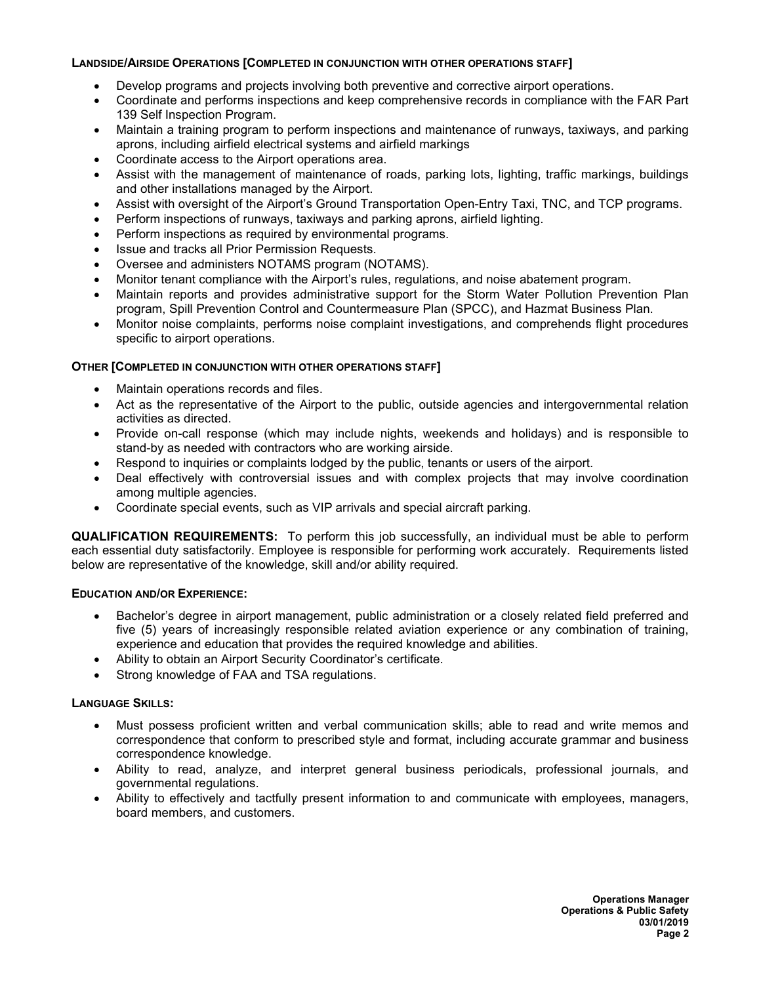#### **LANDSIDE/AIRSIDE OPERATIONS [COMPLETED IN CONJUNCTION WITH OTHER OPERATIONS STAFF]**

- Develop programs and projects involving both preventive and corrective airport operations.
- Coordinate and performs inspections and keep comprehensive records in compliance with the FAR Part 139 Self Inspection Program.
- Maintain a training program to perform inspections and maintenance of runways, taxiways, and parking aprons, including airfield electrical systems and airfield markings
- Coordinate access to the Airport operations area.
- Assist with the management of maintenance of roads, parking lots, lighting, traffic markings, buildings and other installations managed by the Airport.
- Assist with oversight of the Airport's Ground Transportation Open-Entry Taxi, TNC, and TCP programs.
- Perform inspections of runways, taxiways and parking aprons, airfield lighting.
- Perform inspections as required by environmental programs.
- Issue and tracks all Prior Permission Requests.
- Oversee and administers NOTAMS program (NOTAMS).
- Monitor tenant compliance with the Airport's rules, regulations, and noise abatement program.
- Maintain reports and provides administrative support for the Storm Water Pollution Prevention Plan program, Spill Prevention Control and Countermeasure Plan (SPCC), and Hazmat Business Plan.
- Monitor noise complaints, performs noise complaint investigations, and comprehends flight procedures specific to airport operations.

# **OTHER [COMPLETED IN CONJUNCTION WITH OTHER OPERATIONS STAFF]**

- Maintain operations records and files.
- Act as the representative of the Airport to the public, outside agencies and intergovernmental relation activities as directed.
- Provide on-call response (which may include nights, weekends and holidays) and is responsible to stand-by as needed with contractors who are working airside.
- Respond to inquiries or complaints lodged by the public, tenants or users of the airport.
- Deal effectively with controversial issues and with complex projects that may involve coordination among multiple agencies.
- Coordinate special events, such as VIP arrivals and special aircraft parking.

**QUALIFICATION REQUIREMENTS:** To perform this job successfully, an individual must be able to perform each essential duty satisfactorily. Employee is responsible for performing work accurately. Requirements listed below are representative of the knowledge, skill and/or ability required.

### **EDUCATION AND/OR EXPERIENCE:**

- Bachelor's degree in airport management, public administration or a closely related field preferred and five (5) years of increasingly responsible related aviation experience or any combination of training, experience and education that provides the required knowledge and abilities.
- Ability to obtain an Airport Security Coordinator's certificate.
- Strong knowledge of FAA and TSA regulations.

### **LANGUAGE SKILLS:**

- Must possess proficient written and verbal communication skills; able to read and write memos and correspondence that conform to prescribed style and format, including accurate grammar and business correspondence knowledge.
- Ability to read, analyze, and interpret general business periodicals, professional journals, and governmental regulations.
- Ability to effectively and tactfully present information to and communicate with employees, managers, board members, and customers.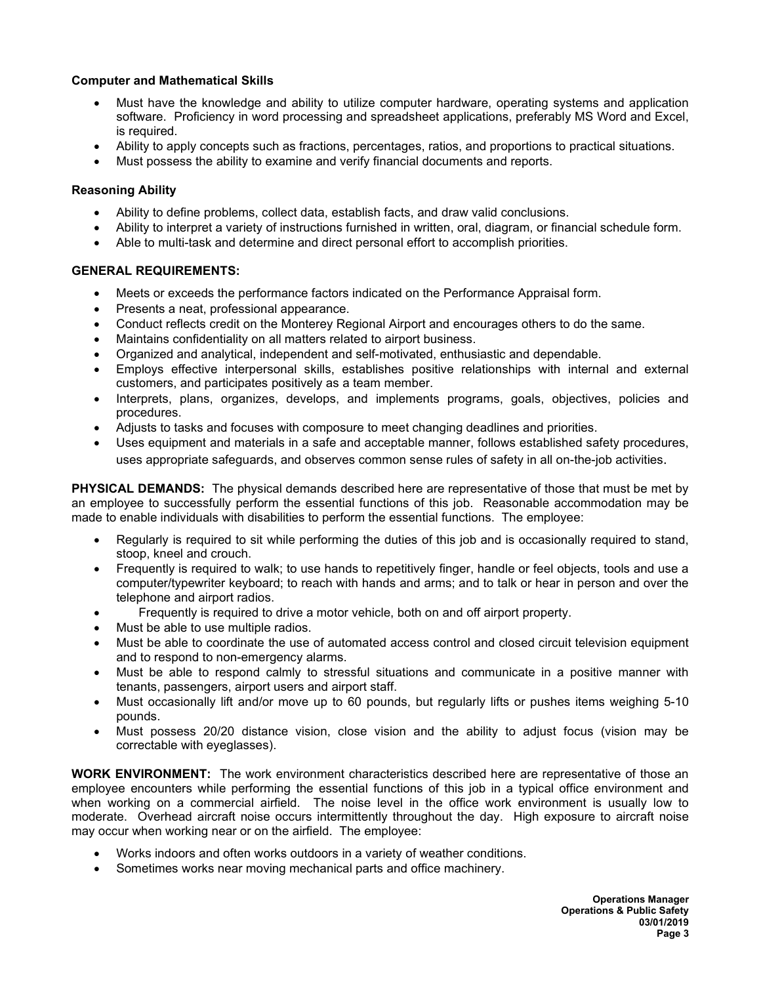### **Computer and Mathematical Skills**

- Must have the knowledge and ability to utilize computer hardware, operating systems and application software. Proficiency in word processing and spreadsheet applications, preferably MS Word and Excel, is required.
- Ability to apply concepts such as fractions, percentages, ratios, and proportions to practical situations.
- Must possess the ability to examine and verify financial documents and reports.

# **Reasoning Ability**

- Ability to define problems, collect data, establish facts, and draw valid conclusions.
- Ability to interpret a variety of instructions furnished in written, oral, diagram, or financial schedule form.
- Able to multi-task and determine and direct personal effort to accomplish priorities.

### **GENERAL REQUIREMENTS:**

- Meets or exceeds the performance factors indicated on the Performance Appraisal form.
- Presents a neat, professional appearance.
- Conduct reflects credit on the Monterey Regional Airport and encourages others to do the same.
- Maintains confidentiality on all matters related to airport business.
- Organized and analytical, independent and self-motivated, enthusiastic and dependable.
- Employs effective interpersonal skills, establishes positive relationships with internal and external customers, and participates positively as a team member.
- Interprets, plans, organizes, develops, and implements programs, goals, objectives, policies and procedures.
- Adjusts to tasks and focuses with composure to meet changing deadlines and priorities.
- Uses equipment and materials in a safe and acceptable manner, follows established safety procedures, uses appropriate safeguards, and observes common sense rules of safety in all on-the-job activities.

**PHYSICAL DEMANDS:** The physical demands described here are representative of those that must be met by an employee to successfully perform the essential functions of this job. Reasonable accommodation may be made to enable individuals with disabilities to perform the essential functions. The employee:

- Regularly is required to sit while performing the duties of this job and is occasionally required to stand, stoop, kneel and crouch.
- Frequently is required to walk; to use hands to repetitively finger, handle or feel objects, tools and use a computer/typewriter keyboard; to reach with hands and arms; and to talk or hear in person and over the telephone and airport radios.
- Frequently is required to drive a motor vehicle, both on and off airport property.
- Must be able to use multiple radios.
- Must be able to coordinate the use of automated access control and closed circuit television equipment and to respond to non-emergency alarms.
- Must be able to respond calmly to stressful situations and communicate in a positive manner with tenants, passengers, airport users and airport staff.
- Must occasionally lift and/or move up to 60 pounds, but regularly lifts or pushes items weighing 5-10 pounds.
- Must possess 20/20 distance vision, close vision and the ability to adjust focus (vision may be correctable with eyeglasses).

**WORK ENVIRONMENT:** The work environment characteristics described here are representative of those an employee encounters while performing the essential functions of this job in a typical office environment and when working on a commercial airfield. The noise level in the office work environment is usually low to moderate. Overhead aircraft noise occurs intermittently throughout the day. High exposure to aircraft noise may occur when working near or on the airfield. The employee:

- Works indoors and often works outdoors in a variety of weather conditions.
- Sometimes works near moving mechanical parts and office machinery.